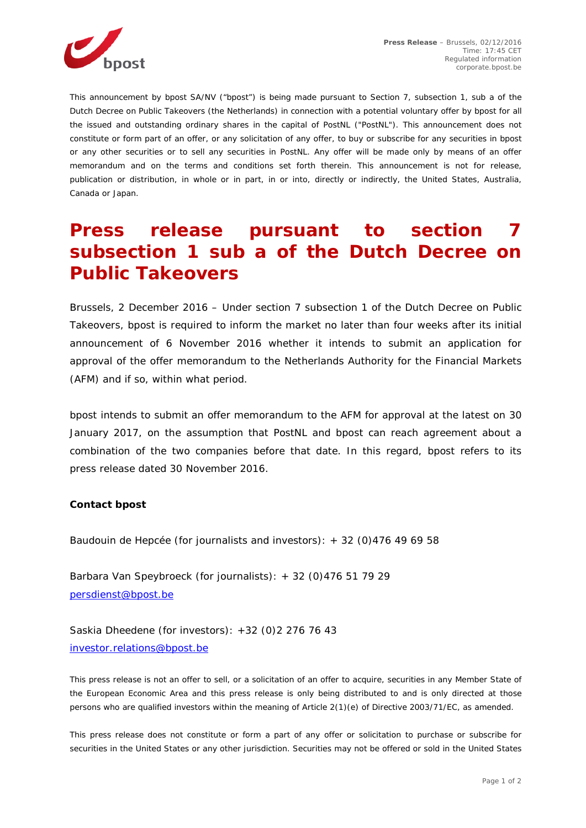

*This announcement by bpost SA/NV ("bpost") is being made pursuant to Section 7, subsection 1, sub a of the Dutch Decree on Public Takeovers (the Netherlands) in connection with a potential voluntary offer by bpost for all the issued and outstanding ordinary shares in the capital of PostNL ("PostNL"). This announcement does not constitute or form part of an offer, or any solicitation of any offer, to buy or subscribe for any securities in bpost or any other securities or to sell any securities in PostNL. Any offer will be made only by means of an offer memorandum and on the terms and conditions set forth therein. This announcement is not for release, publication or distribution, in whole or in part, in or into, directly or indirectly, the United States, Australia, Canada or Japan.*

## **Press release pursuant to section 7 subsection 1 sub a of the Dutch Decree on Public Takeovers**

*Brussels, 2 December 2016* – Under section 7 subsection 1 of the Dutch Decree on Public Takeovers, bpost is required to inform the market no later than four weeks after its initial announcement of 6 November 2016 whether it intends to submit an application for approval of the offer memorandum to the Netherlands Authority for the Financial Markets (AFM) and if so, within what period.

bpost intends to submit an offer memorandum to the AFM for approval at the latest on 30 January 2017, on the assumption that PostNL and bpost can reach agreement about a combination of the two companies before that date. In this regard, bpost refers to its press release dated 30 November 2016.

## **Contact bpost**

Baudouin de Hepcée (for journalists and investors): + 32 (0)476 49 69 58

Barbara Van Speybroeck (for journalists): + 32 (0)476 51 79 29 [persdienst@bpost.be](mailto:persdienst@bpost.be)

Saskia Dheedene (for investors): +32 (0)2 276 76 43 [investor.relations@bpost.be](mailto:investor.relations@bpost.be)

*This press release is not an offer to sell, or a solicitation of an offer to acquire, securities in any Member State of the European Economic Area and this press release is only being distributed to and is only directed at those persons who are qualified investors within the meaning of Article 2(1)(e) of Directive 2003/71/EC, as amended.* 

*This press release does not constitute or form a part of any offer or solicitation to purchase or subscribe for securities in the United States or any other jurisdiction. Securities may not be offered or sold in the United States*